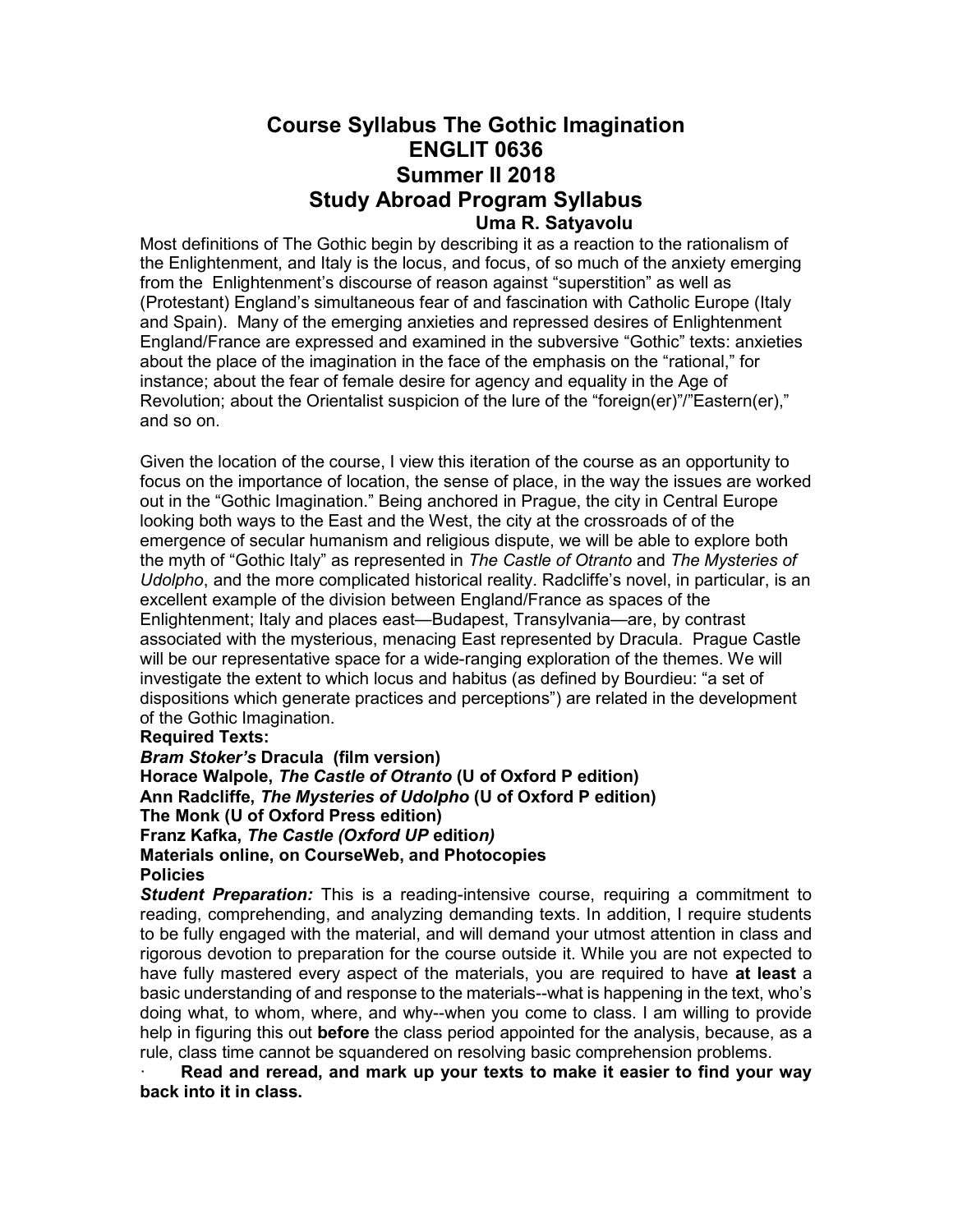# Course Syllabus The Gothic Imagination ENGLIT 0636 Summer II 2018 Study Abroad Program Syllabus Uma R. Satyavolu

Most definitions of The Gothic begin by describing it as a reaction to the rationalism of the Enlightenment, and Italy is the locus, and focus, of so much of the anxiety emerging from the Enlightenment's discourse of reason against "superstition" as well as (Protestant) England's simultaneous fear of and fascination with Catholic Europe (Italy and Spain). Many of the emerging anxieties and repressed desires of Enlightenment England/France are expressed and examined in the subversive "Gothic" texts: anxieties about the place of the imagination in the face of the emphasis on the "rational," for instance; about the fear of female desire for agency and equality in the Age of Revolution; about the Orientalist suspicion of the lure of the "foreign(er)"/"Eastern(er)," and so on.

Given the location of the course, I view this iteration of the course as an opportunity to focus on the importance of location, the sense of place, in the way the issues are worked out in the "Gothic Imagination." Being anchored in Prague, the city in Central Europe looking both ways to the East and the West, the city at the crossroads of of the emergence of secular humanism and religious dispute, we will be able to explore both the myth of "Gothic Italy" as represented in The Castle of Otranto and The Mysteries of Udolpho, and the more complicated historical reality. Radcliffe's novel, in particular, is an excellent example of the division between England/France as spaces of the Enlightenment; Italy and places east—Budapest, Transylvania—are, by contrast associated with the mysterious, menacing East represented by Dracula. Prague Castle will be our representative space for a wide-ranging exploration of the themes. We will investigate the extent to which locus and habitus (as defined by Bourdieu: "a set of dispositions which generate practices and perceptions") are related in the development of the Gothic Imagination.

## Required Texts:

Bram Stoker's Dracula (film version) Horace Walpole, The Castle of Otranto (U of Oxford P edition) Ann Radcliffe, The Mysteries of Udolpho (U of Oxford P edition) The Monk (U of Oxford Press edition) Franz Kafka, The Castle (Oxford UP edition) Materials online, on CourseWeb, and Photocopies **Policies** 

**Student Preparation:** This is a reading-intensive course, requiring a commitment to reading, comprehending, and analyzing demanding texts. In addition, I require students to be fully engaged with the material, and will demand your utmost attention in class and rigorous devotion to preparation for the course outside it. While you are not expected to have fully mastered every aspect of the materials, you are required to have at least a basic understanding of and response to the materials--what is happening in the text, who's doing what, to whom, where, and why--when you come to class. I am willing to provide help in figuring this out **before** the class period appointed for the analysis, because, as a rule, class time cannot be squandered on resolving basic comprehension problems.

Read and reread, and mark up your texts to make it easier to find your way back into it in class.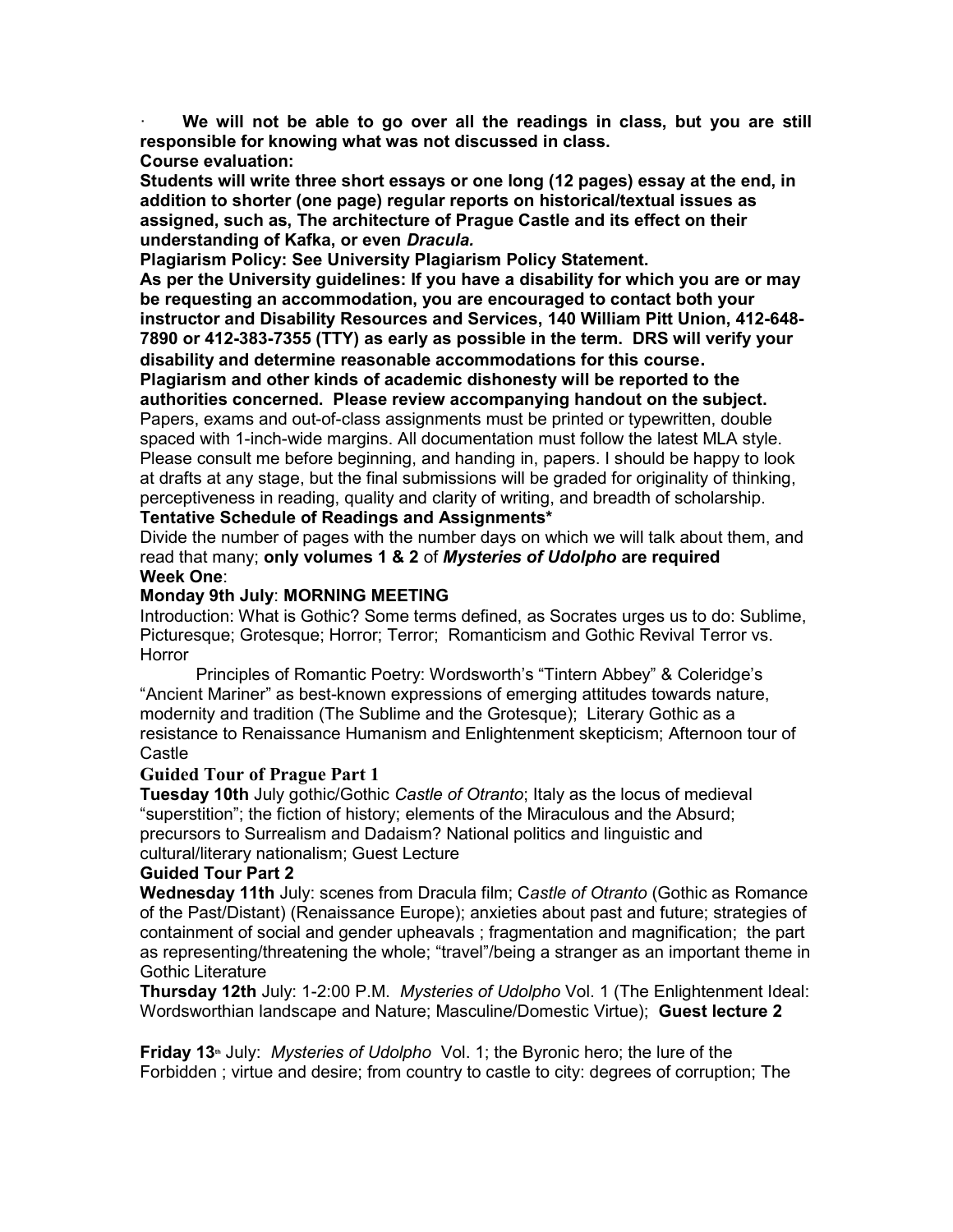We will not be able to go over all the readings in class, but you are still responsible for knowing what was not discussed in class.

# Course evaluation:

Students will write three short essays or one long (12 pages) essay at the end, in addition to shorter (one page) regular reports on historical/textual issues as assigned, such as, The architecture of Prague Castle and its effect on their understanding of Kafka, or even Dracula.

Plagiarism Policy: See University Plagiarism Policy Statement.

As per the University guidelines: If you have a disability for which you are or may be requesting an accommodation, you are encouraged to contact both your instructor and Disability Resources and Services, 140 William Pitt Union, 412-648- 7890 or 412-383-7355 (TTY) as early as possible in the term. DRS will verify your disability and determine reasonable accommodations for this course.

Plagiarism and other kinds of academic dishonesty will be reported to the authorities concerned. Please review accompanying handout on the subject. Papers, exams and out-of-class assignments must be printed or typewritten, double spaced with 1-inch-wide margins. All documentation must follow the latest MLA style. Please consult me before beginning, and handing in, papers. I should be happy to look at drafts at any stage, but the final submissions will be graded for originality of thinking, perceptiveness in reading, quality and clarity of writing, and breadth of scholarship. Tentative Schedule of Readings and Assignments\*

Divide the number of pages with the number days on which we will talk about them, and read that many; only volumes 1 & 2 of Mysteries of Udolpho are required Week One:

# Monday 9th July: MORNING MEETING

Introduction: What is Gothic? Some terms defined, as Socrates urges us to do: Sublime, Picturesque; Grotesque; Horror; Terror; Romanticism and Gothic Revival Terror vs. **Horror** 

 Principles of Romantic Poetry: Wordsworth's "Tintern Abbey" & Coleridge's "Ancient Mariner" as best-known expressions of emerging attitudes towards nature, modernity and tradition (The Sublime and the Grotesque); Literary Gothic as a resistance to Renaissance Humanism and Enlightenment skepticism; Afternoon tour of **Castle** 

## Guided Tour of Prague Part 1

**Tuesday 10th** July gothic/Gothic Castle of Otranto; Italy as the locus of medieval "superstition"; the fiction of history; elements of the Miraculous and the Absurd; precursors to Surrealism and Dadaism? National politics and linguistic and cultural/literary nationalism; Guest Lecture

# Guided Tour Part 2

Wednesday 11th July: scenes from Dracula film; Castle of Otranto (Gothic as Romance of the Past/Distant) (Renaissance Europe); anxieties about past and future; strategies of containment of social and gender upheavals ; fragmentation and magnification; the part as representing/threatening the whole; "travel"/being a stranger as an important theme in Gothic Literature

Thursday 12th July: 1-2:00 P.M. Mysteries of Udolpho Vol. 1 (The Enlightenment Ideal: Wordsworthian landscape and Nature; Masculine/Domestic Virtue); Guest lecture 2

Friday 13<sup>th</sup> July: Mysteries of Udolpho Vol. 1; the Byronic hero; the lure of the Forbidden ; virtue and desire; from country to castle to city: degrees of corruption; The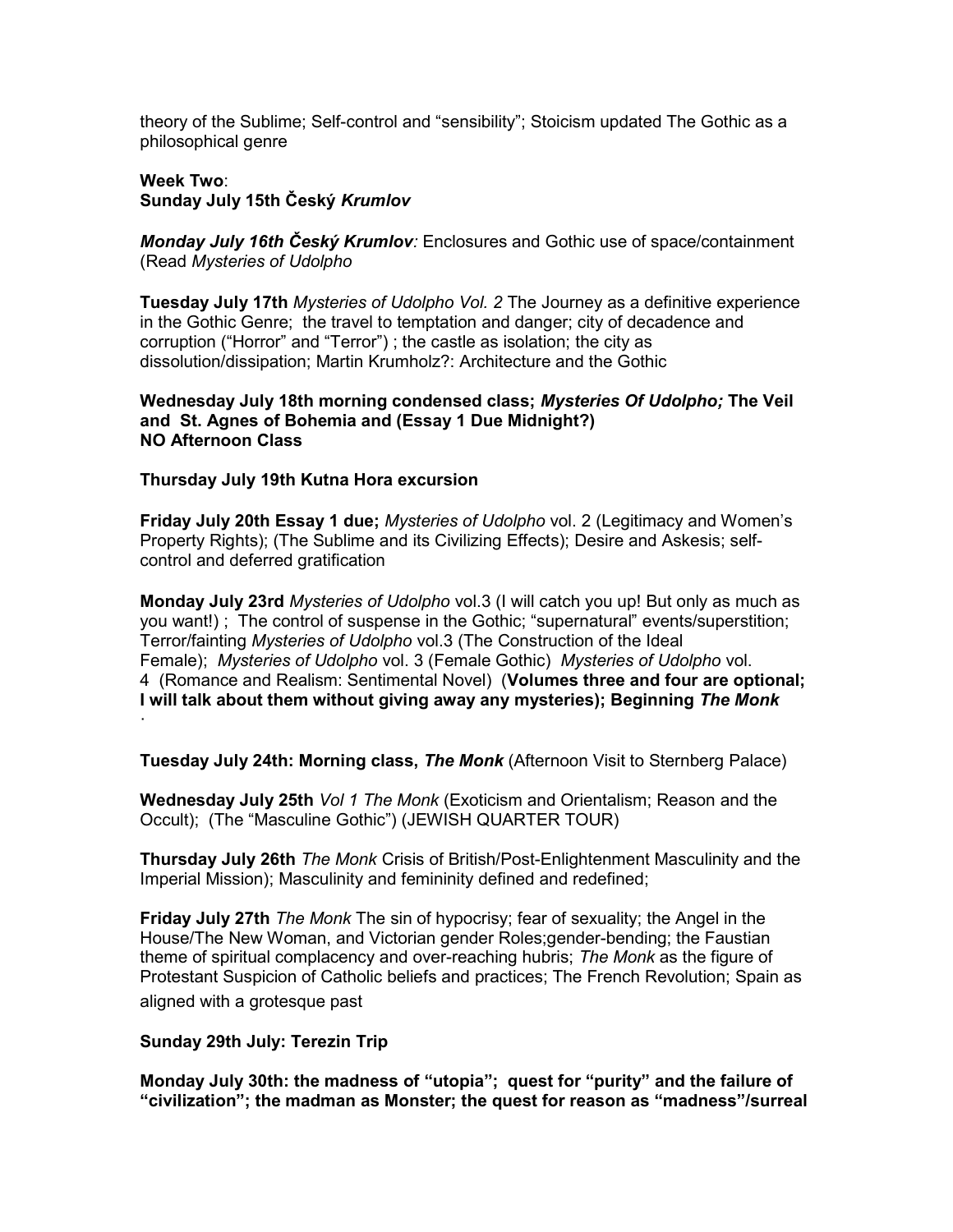theory of the Sublime; Self-control and "sensibility"; Stoicism updated The Gothic as a philosophical genre

## Week Two: Sunday July 15th Český Krumlov

Monday July 16th Český Krumlov: Enclosures and Gothic use of space/containment (Read Mysteries of Udolpho

Tuesday July 17th Mysteries of Udolpho Vol. 2 The Journey as a definitive experience in the Gothic Genre; the travel to temptation and danger; city of decadence and corruption ("Horror" and "Terror") ; the castle as isolation; the city as dissolution/dissipation; Martin Krumholz?: Architecture and the Gothic

## Wednesday July 18th morning condensed class; Mysteries Of Udolpho; The Veil and St. Agnes of Bohemia and (Essay 1 Due Midnight?) NO Afternoon Class

# Thursday July 19th Kutna Hora excursion

Friday July 20th Essay 1 due; Mysteries of Udolpho vol. 2 (Legitimacy and Women's Property Rights); (The Sublime and its Civilizing Effects); Desire and Askesis; selfcontrol and deferred gratification

Monday July 23rd Mysteries of Udolpho vol.3 (I will catch you up! But only as much as you want!) ; The control of suspense in the Gothic; "supernatural" events/superstition; Terror/fainting Mysteries of Udolpho vol.3 (The Construction of the Ideal Female); Mysteries of Udolpho vol. 3 (Female Gothic) Mysteries of Udolpho vol. 4 (Romance and Realism: Sentimental Novel) (Volumes three and four are optional; I will talk about them without giving away any mysteries); Beginning The Monk

Tuesday July 24th: Morning class, The Monk (Afternoon Visit to Sternberg Palace)

Wednesday July 25th *Vol 1 The Monk* (Exoticism and Orientalism; Reason and the Occult); (The "Masculine Gothic") (JEWISH QUARTER TOUR)

Thursday July 26th The Monk Crisis of British/Post-Enlightenment Masculinity and the Imperial Mission); Masculinity and femininity defined and redefined;

**Friday July 27th The Monk The sin of hypocrisy; fear of sexuality; the Angel in the** House/The New Woman, and Victorian gender Roles;gender-bending; the Faustian theme of spiritual complacency and over-reaching hubris; The Monk as the figure of Protestant Suspicion of Catholic beliefs and practices; The French Revolution; Spain as aligned with a grotesque past

## Sunday 29th July: Terezin Trip

·

Monday July 30th: the madness of "utopia"; quest for "purity" and the failure of "civilization"; the madman as Monster; the quest for reason as "madness"/surreal